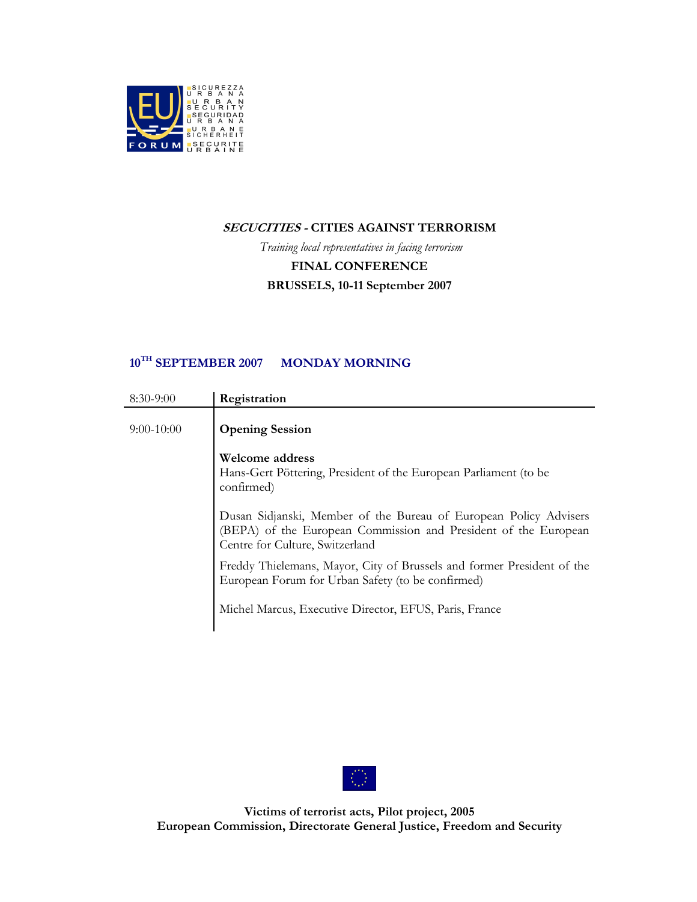

#### SECUCITIES - CITIES AGAINST TERRORISM

Training local representatives in facing terrorism FINAL CONFERENCE BRUSSELS, 10-11 September 2007

#### 10<sup>TH</sup> SEPTEMBER 2007 MONDAY MORNING

| $8:30-9:00$  | Registration                                                                                                                                                            |
|--------------|-------------------------------------------------------------------------------------------------------------------------------------------------------------------------|
| $9:00-10:00$ | <b>Opening Session</b>                                                                                                                                                  |
|              | Welcome address<br>Hans-Gert Pöttering, President of the European Parliament (to be<br>confirmed)                                                                       |
|              | Dusan Sidjanski, Member of the Bureau of European Policy Advisers<br>(BEPA) of the European Commission and President of the European<br>Centre for Culture, Switzerland |
|              | Freddy Thielemans, Mayor, City of Brussels and former President of the<br>European Forum for Urban Safety (to be confirmed)                                             |
|              | Michel Marcus, Executive Director, EFUS, Paris, France                                                                                                                  |

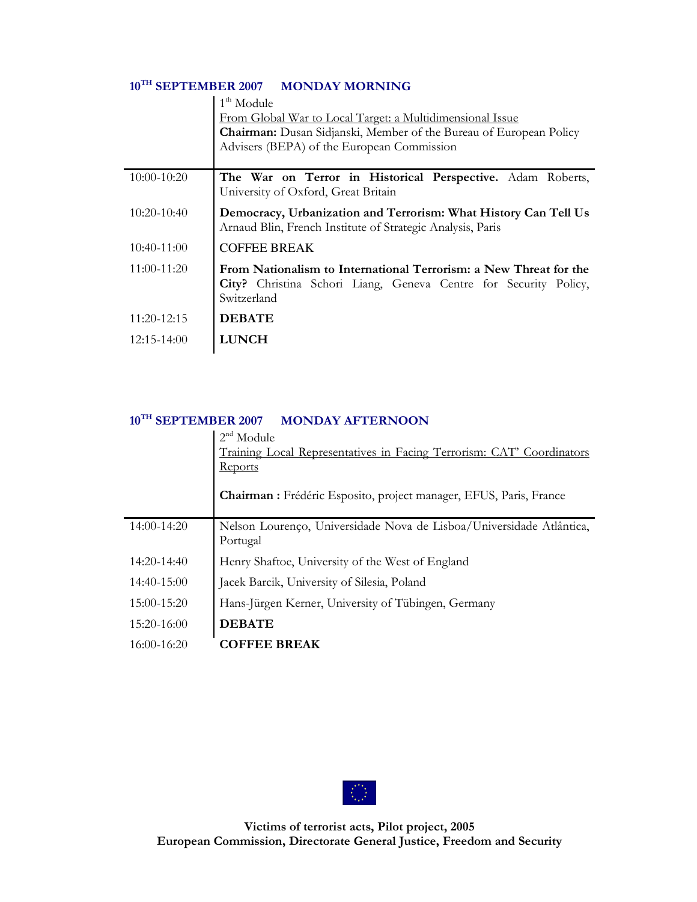### 10<sup>TH</sup> SEPTEMBER 2007 MONDAY MORNING

|               | $1th$ Module                                                                                                                                         |
|---------------|------------------------------------------------------------------------------------------------------------------------------------------------------|
|               | From Global War to Local Target: a Multidimensional Issue                                                                                            |
|               | <b>Chairman:</b> Dusan Sidjanski, Member of the Bureau of European Policy                                                                            |
|               | Advisers (BEPA) of the European Commission                                                                                                           |
|               |                                                                                                                                                      |
| $10:00-10:20$ | The War on Terror in Historical Perspective. Adam Roberts,<br>University of Oxford, Great Britain                                                    |
| $10:20-10:40$ | Democracy, Urbanization and Terrorism: What History Can Tell Us<br>Arnaud Blin, French Institute of Strategic Analysis, Paris                        |
| 10:40-11:00   | <b>COFFEE BREAK</b>                                                                                                                                  |
| 11:00-11:20   | From Nationalism to International Terrorism: a New Threat for the<br>City? Christina Schori Liang, Geneva Centre for Security Policy,<br>Switzerland |
| $11:20-12:15$ | <b>DEBATE</b>                                                                                                                                        |
| 12:15-14:00   | <b>LUNCH</b>                                                                                                                                         |

#### 10<sup>TH</sup> SEPTEMBER 2007 MONDAY AFTERNOON

|               | Module<br>Training Local Representatives in Facing Terrorism: CAT' Coordinators<br>Reports<br>Chairman : Frédéric Esposito, project manager, EFUS, Paris, France |
|---------------|------------------------------------------------------------------------------------------------------------------------------------------------------------------|
| 14:00-14:20   | Nelson Lourenço, Universidade Nova de Lisboa/Universidade Atlântica,<br>Portugal                                                                                 |
| $14:20-14:40$ | Henry Shaftoe, University of the West of England                                                                                                                 |
| 14:40-15:00   | Jacek Barcik, University of Silesia, Poland                                                                                                                      |
| $15:00-15:20$ | Hans-Jürgen Kerner, University of Tübingen, Germany                                                                                                              |
| $15:20-16:00$ | <b>DEBATE</b>                                                                                                                                                    |
| $16:00-16:20$ | <b>COFFEE BREAK</b>                                                                                                                                              |

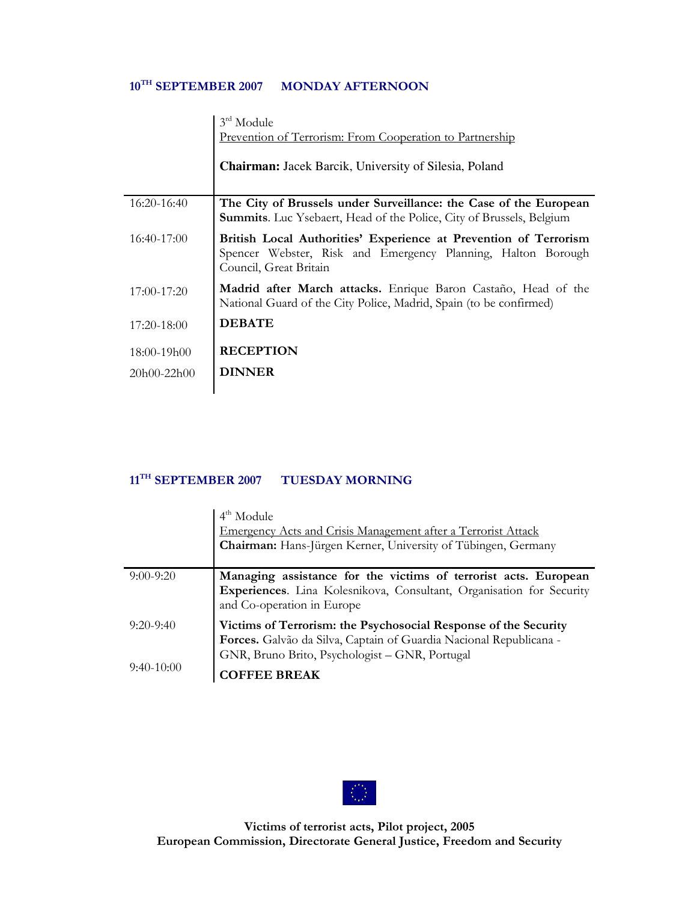## 10<sup>TH</sup> SEPTEMBER 2007 MONDAY AFTERNOON

|               | 3rd Module<br>Prevention of Terrorism: From Cooperation to Partnership                                                                                     |
|---------------|------------------------------------------------------------------------------------------------------------------------------------------------------------|
|               | <b>Chairman:</b> Jacek Barcik, University of Silesia, Poland                                                                                               |
| $16:20-16:40$ | The City of Brussels under Surveillance: the Case of the European<br><b>Summits.</b> Luc Ysebaert, Head of the Police, City of Brussels, Belgium           |
| $16:40-17:00$ | British Local Authorities' Experience at Prevention of Terrorism<br>Spencer Webster, Risk and Emergency Planning, Halton Borough<br>Council, Great Britain |
| $17:00-17:20$ | Madrid after March attacks. Enrique Baron Castaño, Head of the<br>National Guard of the City Police, Madrid, Spain (to be confirmed)                       |
| 17:20-18:00   | <b>DEBATE</b>                                                                                                                                              |
| $18:00-19h00$ | <b>RECEPTION</b>                                                                                                                                           |
| 20h00-22h00   | <b>DINNER</b>                                                                                                                                              |
|               |                                                                                                                                                            |

# 11<sup>TH</sup> SEPTEMBER 2007 TUESDAY MORNING

|              | $4th$ Module<br>Emergency Acts and Crisis Management after a Terrorist Attack<br>Chairman: Hans-Jürgen Kerner, University of Tübingen, Germany                                          |
|--------------|-----------------------------------------------------------------------------------------------------------------------------------------------------------------------------------------|
| $9:00-9:20$  | Managing assistance for the victims of terrorist acts. European<br>Experiences. Lina Kolesnikova, Consultant, Organisation for Security<br>and Co-operation in Europe                   |
| $9:20-9:40$  | Victims of Terrorism: the Psychosocial Response of the Security<br>Forces. Galvão da Silva, Captain of Guardia Nacional Republicana -<br>GNR, Bruno Brito, Psychologist - GNR, Portugal |
| $9:40-10:00$ | <b>FFEE BREAK</b>                                                                                                                                                                       |

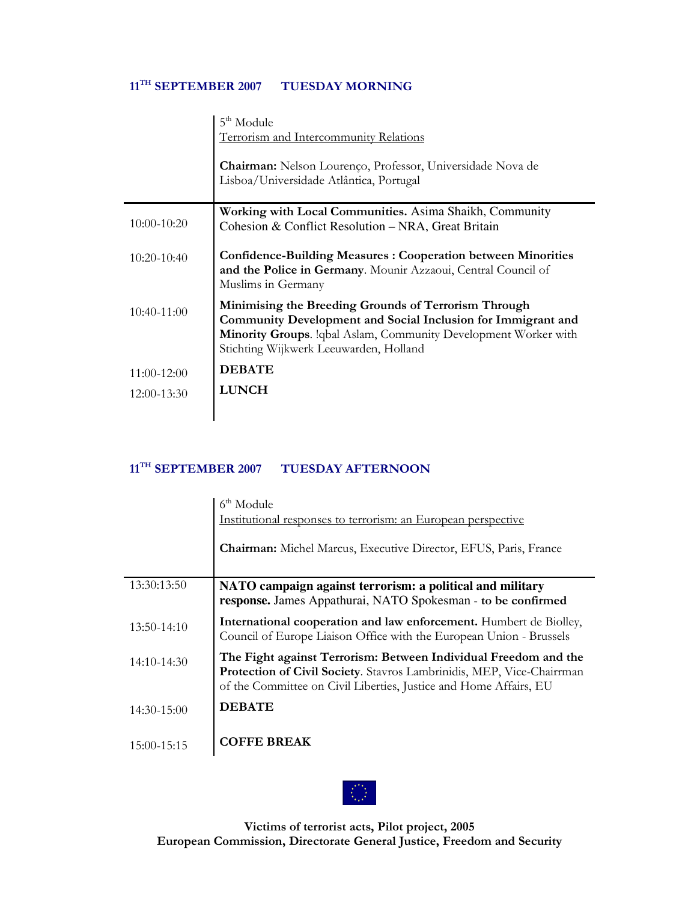## 11<sup>TH</sup> SEPTEMBER 2007 TUESDAY MORNING

|               | 5 <sup>th</sup> Module                                                                                                                                                                                                            |
|---------------|-----------------------------------------------------------------------------------------------------------------------------------------------------------------------------------------------------------------------------------|
|               | Terrorism and Intercommunity Relations                                                                                                                                                                                            |
|               | Chairman: Nelson Lourenço, Professor, Universidade Nova de<br>Lisboa/Universidade Atlântica, Portugal                                                                                                                             |
| 10:00-10:20   | Working with Local Communities. Asima Shaikh, Community<br>Cohesion & Conflict Resolution - NRA, Great Britain                                                                                                                    |
| $10:20-10:40$ | <b>Confidence-Building Measures: Cooperation between Minorities</b><br>and the Police in Germany. Mounir Azzaoui, Central Council of<br>Muslims in Germany                                                                        |
| 10:40-11:00   | Minimising the Breeding Grounds of Terrorism Through<br>Community Development and Social Inclusion for Immigrant and<br>Minority Groups. Iqbal Aslam, Community Development Worker with<br>Stichting Wijkwerk Leeuwarden, Holland |
| 11:00-12:00   | <b>DEBATE</b>                                                                                                                                                                                                                     |
| $12:00-13:30$ | <b>LUNCH</b>                                                                                                                                                                                                                      |
|               |                                                                                                                                                                                                                                   |

# 11<sup>TH</sup> SEPTEMBER 2007 TUESDAY AFTERNOON

|               | $6th$ Module<br>Institutional responses to terrorism: an European perspective                                                                                                                                 |
|---------------|---------------------------------------------------------------------------------------------------------------------------------------------------------------------------------------------------------------|
|               | Chairman: Michel Marcus, Executive Director, EFUS, Paris, France                                                                                                                                              |
| 13:30:13:50   | NATO campaign against terrorism: a political and military<br>response. James Appathurai, NATO Spokesman - to be confirmed                                                                                     |
| 13:50-14:10   | International cooperation and law enforcement. Humbert de Biolley,<br>Council of Europe Liaison Office with the European Union - Brussels                                                                     |
| $14:10-14:30$ | The Fight against Terrorism: Between Individual Freedom and the<br>Protection of Civil Society. Stavros Lambrinidis, MEP, Vice-Chairrman<br>of the Committee on Civil Liberties, Justice and Home Affairs, EU |
| 14:30-15:00   | <b>DEBATE</b>                                                                                                                                                                                                 |
| 15:00-15:15   | <b>COFFE BREAK</b>                                                                                                                                                                                            |